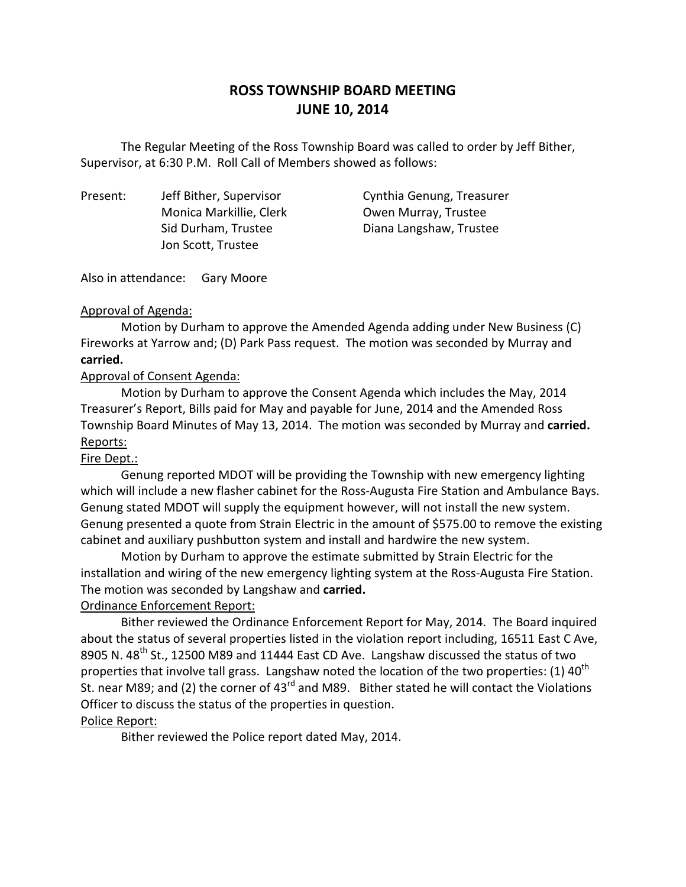# **ROSS TOWNSHIP BOARD MEETING JUNE 10, 2014**

 Supervisor, at 6:30 P.M. Roll Call of Members showed as follows: The Regular Meeting of the Ross Township Board was called to order by Jeff Bither,

Present: Monica Markillie, Clerk **Owen Murray, Trustee** Jon Scott, Trustee

Jeff Bither, Supervisor Cynthia Genung, Treasurer Sid Durham, Trustee Diana Langshaw, Trustee

Also in attendance: Gary Moore

#### Approval of Agenda:

 Motion by Durham to approve the Amended Agenda adding under New Business (C) Fireworks at Yarrow and; (D) Park Pass request. The motion was seconded by Murray and **carried.** 

### Approval of Consent Agenda:

 Motion by Durham to approve the Consent Agenda which includes the May, 2014 Treasurer's Report, Bills paid for May and payable for June, 2014 and the Amended Ross Township Board Minutes of May 13, 2014. The motion was seconded by Murray and **carried.**  Reports:

## Fire Dept.:

 Genung reported MDOT will be providing the Township with new emergency lighting which will include a new flasher cabinet for the Ross-Augusta Fire Station and Ambulance Bays. Genung stated MDOT will supply the equipment however, will not install the new system. Genung presented a quote from Strain Electric in the amount of \$575.00 to remove the existing cabinet and auxiliary pushbutton system and install and hardwire the new system.

 Motion by Durham to approve the estimate submitted by Strain Electric for the installation and wiring of the new emergency lighting system at the Ross-Augusta Fire Station. The motion was seconded by Langshaw and **carried.** 

## Ordinance Enforcement Report:

 Bither reviewed the Ordinance Enforcement Report for May, 2014. The Board inquired about the status of several properties listed in the violation report including, 16511 East C Ave, 8905 N. 48<sup>th</sup> St., 12500 M89 and 11444 East CD Ave. Langshaw discussed the status of two properties that involve tall grass. Langshaw noted the location of the two properties: (1) 40<sup>th</sup> St. near M89; and (2) the corner of 43<sup>rd</sup> and M89. Bither stated he will contact the Violations Officer to discuss the status of the properties in question.

## Police Report:

Bither reviewed the Police report dated May, 2014.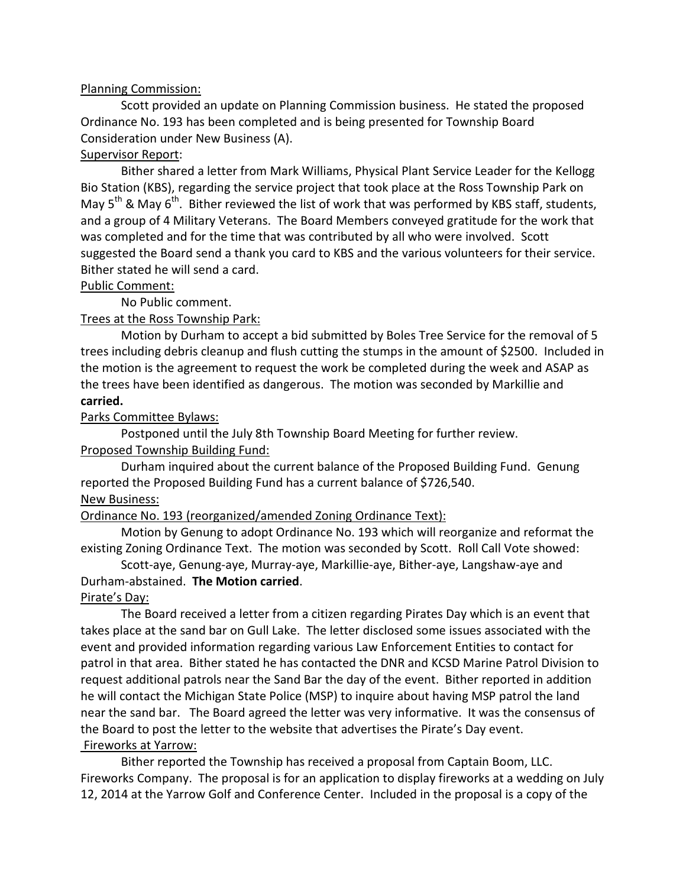#### Planning Commission:

 Ordinance No. 193 has been completed and is being presented for Township Board Consideration under New Business (A). Scott provided an update on Planning Commission business. He stated the proposed

#### Supervisor Report:

 Bither shared a letter from Mark Williams, Physical Plant Service Leader for the Kellogg Bio Station (KBS), regarding the service project that took place at the Ross Township Park on May  $5^{th}$  & May  $6^{th}$ . Bither reviewed the list of work that was performed by KBS staff, students, and a group of 4 Military Veterans. The Board Members conveyed gratitude for the work that was completed and for the time that was contributed by all who were involved. Scott suggested the Board send a thank you card to KBS and the various volunteers for their service. Bither stated he will send a card.

#### Public Comment:

No Public comment.

### Trees at the Ross Township Park:

 Motion by Durham to accept a bid submitted by Boles Tree Service for the removal of 5 trees including debris cleanup and flush cutting the stumps in the amount of \$2500. Included in the motion is the agreement to request the work be completed during the week and ASAP as the trees have been identified as dangerous. The motion was seconded by Markillie and **carried.** 

#### Parks Committee Bylaws:

 Postponed until the July 8th Township Board Meeting for further review. Proposed Township Building Fund:

 Durham inquired about the current balance of the Proposed Building Fund. Genung reported the Proposed Building Fund has a current balance of \$726,540.

# **New Business:**

Ordinance No. 193 (reorganized/amended Zoning Ordinance Text):

 Motion by Genung to adopt Ordinance No. 193 which will reorganize and reformat the existing Zoning Ordinance Text. The motion was seconded by Scott. Roll Call Vote showed:

 Scott-aye, Genung-aye, Murray-aye, Markillie-aye, Bither-aye, Langshaw-aye and Durham-abstained. **The Motion carried**.

#### Pirate's Day:

 takes place at the sand bar on Gull Lake. The letter disclosed some issues associated with the event and provided information regarding various Law Enforcement Entities to contact for patrol in that area. Bither stated he has contacted the DNR and KCSD Marine Patrol Division to request additional patrols near the Sand Bar the day of the event. Bither reported in addition he will contact the Michigan State Police (MSP) to inquire about having MSP patrol the land near the sand bar. The Board agreed the letter was very informative. It was the consensus of the Board to post the letter to the website that advertises the Pirate's Day event. Fireworks at Yarrow: The Board received a letter from a citizen regarding Pirates Day which is an event that

 Bither reported the Township has received a proposal from Captain Boom, LLC. Fireworks Company. The proposal is for an application to display fireworks at a wedding on July 12, 2014 at the Yarrow Golf and Conference Center. Included in the proposal is a copy of the